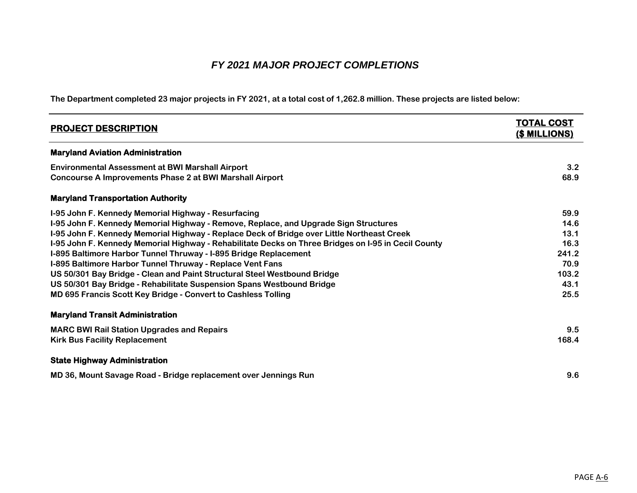## *FY 2021 MAJOR PROJECT COMPLETIONS*

**The Department completed 23 major projects in FY 2021, at a total cost of 1,262.8 million. These projects are listed below:**

| <b>PROJECT DESCRIPTION</b>                                                                                                                                                                                                                                                                                                                                                                                                                                                                                                                                                                                                                                                                              | <b>TOTAL COST</b><br>(\$ MILLIONS)                                     |
|---------------------------------------------------------------------------------------------------------------------------------------------------------------------------------------------------------------------------------------------------------------------------------------------------------------------------------------------------------------------------------------------------------------------------------------------------------------------------------------------------------------------------------------------------------------------------------------------------------------------------------------------------------------------------------------------------------|------------------------------------------------------------------------|
| <b>Maryland Aviation Administration</b>                                                                                                                                                                                                                                                                                                                                                                                                                                                                                                                                                                                                                                                                 |                                                                        |
| <b>Environmental Assessment at BWI Marshall Airport</b><br><b>Concourse A Improvements Phase 2 at BWI Marshall Airport</b>                                                                                                                                                                                                                                                                                                                                                                                                                                                                                                                                                                              | 3.2<br>68.9                                                            |
| <b>Maryland Transportation Authority</b>                                                                                                                                                                                                                                                                                                                                                                                                                                                                                                                                                                                                                                                                |                                                                        |
| I-95 John F. Kennedy Memorial Highway - Resurfacing<br>I-95 John F. Kennedy Memorial Highway - Remove, Replace, and Upgrade Sign Structures<br>I-95 John F. Kennedy Memorial Highway - Replace Deck of Bridge over Little Northeast Creek<br>I-95 John F. Kennedy Memorial Highway - Rehabilitate Decks on Three Bridges on I-95 in Cecil County<br>I-895 Baltimore Harbor Tunnel Thruway - I-895 Bridge Replacement<br>I-895 Baltimore Harbor Tunnel Thruway - Replace Vent Fans<br>US 50/301 Bay Bridge - Clean and Paint Structural Steel Westbound Bridge<br>US 50/301 Bay Bridge - Rehabilitate Suspension Spans Westbound Bridge<br>MD 695 Francis Scott Key Bridge - Convert to Cashless Tolling | 59.9<br>14.6<br>13.1<br>16.3<br>241.2<br>70.9<br>103.2<br>43.1<br>25.5 |
| <b>Maryland Transit Administration</b>                                                                                                                                                                                                                                                                                                                                                                                                                                                                                                                                                                                                                                                                  |                                                                        |
| <b>MARC BWI Rail Station Upgrades and Repairs</b><br><b>Kirk Bus Facility Replacement</b>                                                                                                                                                                                                                                                                                                                                                                                                                                                                                                                                                                                                               | 9.5<br>168.4                                                           |
| <b>State Highway Administration</b>                                                                                                                                                                                                                                                                                                                                                                                                                                                                                                                                                                                                                                                                     |                                                                        |
| MD 36, Mount Savage Road - Bridge replacement over Jennings Run                                                                                                                                                                                                                                                                                                                                                                                                                                                                                                                                                                                                                                         | 9.6                                                                    |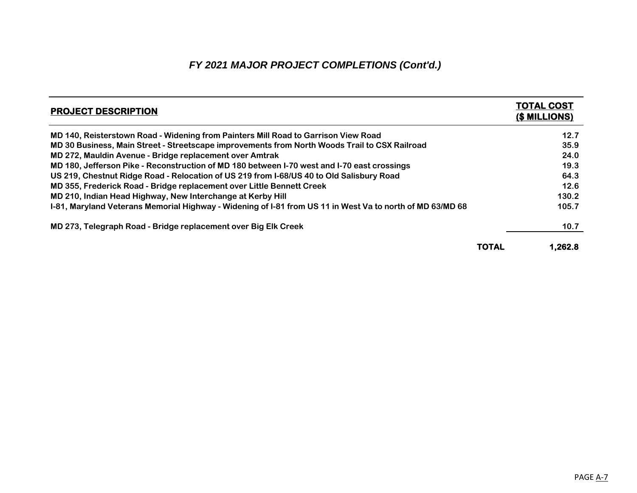# *FY 2021 MAJOR PROJECT COMPLETIONS (Cont'd.)*

| <b>PROJECT DESCRIPTION</b>                                                                                |       | <b>TOTAL COST</b><br><u>(\$ MILLIONS)</u> |
|-----------------------------------------------------------------------------------------------------------|-------|-------------------------------------------|
| MD 140, Reisterstown Road - Widening from Painters Mill Road to Garrison View Road                        |       | 12.7                                      |
| MD 30 Business, Main Street - Streetscape improvements from North Woods Trail to CSX Railroad             |       | 35.9                                      |
| MD 272, Mauldin Avenue - Bridge replacement over Amtrak                                                   |       | 24.0                                      |
| MD 180, Jefferson Pike - Reconstruction of MD 180 between I-70 west and I-70 east crossings               |       | 19.3                                      |
| US 219, Chestnut Ridge Road - Relocation of US 219 from I-68/US 40 to Old Salisbury Road                  |       | 64.3                                      |
| MD 355, Frederick Road - Bridge replacement over Little Bennett Creek                                     |       | 12.6                                      |
| MD 210, Indian Head Highway, New Interchange at Kerby Hill                                                |       | 130.2                                     |
| I-81, Maryland Veterans Memorial Highway - Widening of I-81 from US 11 in West Va to north of MD 63/MD 68 |       | 105.7                                     |
| MD 273, Telegraph Road - Bridge replacement over Big Elk Creek                                            |       | 10.7                                      |
|                                                                                                           | TOTAL | 1.262.8                                   |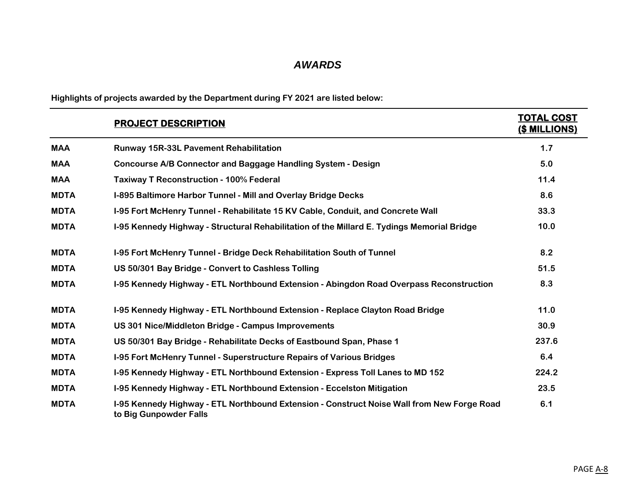# *AWARDS*

**Highlights of projects awarded by the Department during FY 2021 are listed below:**

|             | <b>PROJECT DESCRIPTION</b>                                                                                           | <b>TOTAL COST</b><br><u>(\$ MILLIONS)</u> |
|-------------|----------------------------------------------------------------------------------------------------------------------|-------------------------------------------|
| <b>MAA</b>  | <b>Runway 15R-33L Pavement Rehabilitation</b>                                                                        | 1.7                                       |
| <b>MAA</b>  | <b>Concourse A/B Connector and Baggage Handling System - Design</b>                                                  | 5.0                                       |
| <b>MAA</b>  | <b>Taxiway T Reconstruction - 100% Federal</b>                                                                       | 11.4                                      |
| <b>MDTA</b> | I-895 Baltimore Harbor Tunnel - Mill and Overlay Bridge Decks                                                        | 8.6                                       |
| <b>MDTA</b> | I-95 Fort McHenry Tunnel - Rehabilitate 15 KV Cable, Conduit, and Concrete Wall                                      | 33.3                                      |
| <b>MDTA</b> | I-95 Kennedy Highway - Structural Rehabilitation of the Millard E. Tydings Memorial Bridge                           | 10.0                                      |
| <b>MDTA</b> | <b>I-95 Fort McHenry Tunnel - Bridge Deck Rehabilitation South of Tunnel</b>                                         | 8.2                                       |
| <b>MDTA</b> | US 50/301 Bay Bridge - Convert to Cashless Tolling                                                                   | 51.5                                      |
| <b>MDTA</b> | I-95 Kennedy Highway - ETL Northbound Extension - Abingdon Road Overpass Reconstruction                              | 8.3                                       |
| <b>MDTA</b> | I-95 Kennedy Highway - ETL Northbound Extension - Replace Clayton Road Bridge                                        | 11.0                                      |
| <b>MDTA</b> | US 301 Nice/Middleton Bridge - Campus Improvements                                                                   | 30.9                                      |
| <b>MDTA</b> | US 50/301 Bay Bridge - Rehabilitate Decks of Eastbound Span, Phase 1                                                 | 237.6                                     |
| <b>MDTA</b> | I-95 Fort McHenry Tunnel - Superstructure Repairs of Various Bridges                                                 | 6.4                                       |
| <b>MDTA</b> | I-95 Kennedy Highway - ETL Northbound Extension - Express Toll Lanes to MD 152                                       | 224.2                                     |
| <b>MDTA</b> | I-95 Kennedy Highway - ETL Northbound Extension - Eccelston Mitigation                                               | 23.5                                      |
| <b>MDTA</b> | I-95 Kennedy Highway - ETL Northbound Extension - Construct Noise Wall from New Forge Road<br>to Big Gunpowder Falls | 6.1                                       |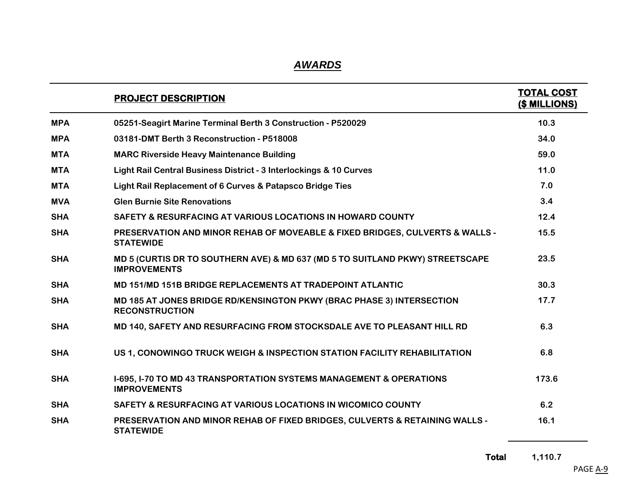# *AWARDS*

|            | <b>PROJECT DESCRIPTION</b>                                                                                      | <b>TOTAL COST</b><br>(\$ MILLIONS) |
|------------|-----------------------------------------------------------------------------------------------------------------|------------------------------------|
| <b>MPA</b> | 05251-Seagirt Marine Terminal Berth 3 Construction - P520029                                                    | 10.3                               |
| <b>MPA</b> | 03181-DMT Berth 3 Reconstruction - P518008                                                                      | 34.0                               |
| <b>MTA</b> | <b>MARC Riverside Heavy Maintenance Building</b>                                                                | 59.0                               |
| <b>MTA</b> | Light Rail Central Business District - 3 Interlockings & 10 Curves                                              | 11.0                               |
| <b>MTA</b> | Light Rail Replacement of 6 Curves & Patapsco Bridge Ties                                                       | 7.0                                |
| <b>MVA</b> | <b>Glen Burnie Site Renovations</b>                                                                             | 3.4                                |
| <b>SHA</b> | <b>SAFETY &amp; RESURFACING AT VARIOUS LOCATIONS IN HOWARD COUNTY</b>                                           | 12.4                               |
| <b>SHA</b> | <b>PRESERVATION AND MINOR REHAB OF MOVEABLE &amp; FIXED BRIDGES, CULVERTS &amp; WALLS -</b><br><b>STATEWIDE</b> | 15.5                               |
| <b>SHA</b> | MD 5 (CURTIS DR TO SOUTHERN AVE) & MD 637 (MD 5 TO SUITLAND PKWY) STREETSCAPE<br><b>IMPROVEMENTS</b>            | 23.5                               |
| <b>SHA</b> | <b>MD 151/MD 151B BRIDGE REPLACEMENTS AT TRADEPOINT ATLANTIC</b>                                                | 30.3                               |
| <b>SHA</b> | MD 185 AT JONES BRIDGE RD/KENSINGTON PKWY (BRAC PHASE 3) INTERSECTION<br><b>RECONSTRUCTION</b>                  | 17.7                               |
| <b>SHA</b> | MD 140, SAFETY AND RESURFACING FROM STOCKSDALE AVE TO PLEASANT HILL RD                                          | 6.3                                |
| <b>SHA</b> | US 1, CONOWINGO TRUCK WEIGH & INSPECTION STATION FACILITY REHABILITATION                                        | 6.8                                |
| <b>SHA</b> | <b>I-695, I-70 TO MD 43 TRANSPORTATION SYSTEMS MANAGEMENT &amp; OPERATIONS</b><br><b>IMPROVEMENTS</b>           | 173.6                              |
| <b>SHA</b> | SAFETY & RESURFACING AT VARIOUS LOCATIONS IN WICOMICO COUNTY                                                    | 6.2                                |
| <b>SHA</b> | <b>PRESERVATION AND MINOR REHAB OF FIXED BRIDGES, CULVERTS &amp; RETAINING WALLS -</b><br><b>STATEWIDE</b>      | 16.1                               |

**Total 1,110.7**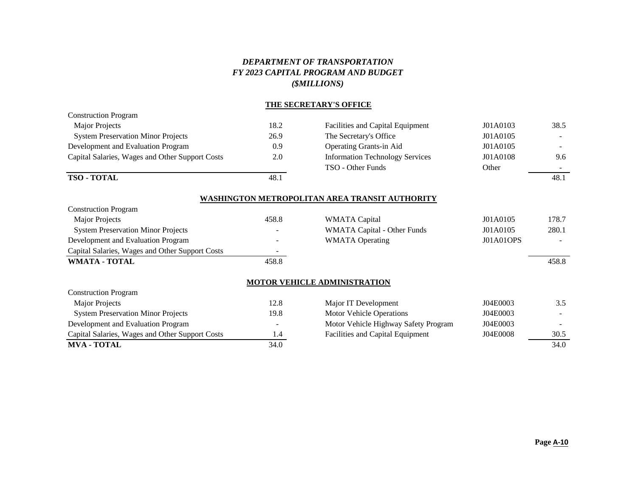### *DEPARTMENT OF TRANSPORTATION FY 2023 CAPITAL PROGRAM AND BUDGET (\$MILLIONS)*

#### **THE SECRETARY'S OFFICE**

| <b>Construction Program</b>                     |      |                                        |          |                          |  |
|-------------------------------------------------|------|----------------------------------------|----------|--------------------------|--|
| Major Projects                                  | 18.2 | Facilities and Capital Equipment       | J01A0103 | 38.5                     |  |
| <b>System Preservation Minor Projects</b>       | 26.9 | The Secretary's Office                 | J01A0105 | $\overline{\phantom{0}}$ |  |
| Development and Evaluation Program              | 0.9  | <b>Operating Grants-in Aid</b>         | J01A0105 |                          |  |
| Capital Salaries, Wages and Other Support Costs | 2.0  | <b>Information Technology Services</b> | J01A0108 | 9.6                      |  |
|                                                 |      | TSO - Other Funds                      | Other    |                          |  |
| <b>TSO - TOTAL</b>                              | 48.1 |                                        |          | 48.1                     |  |
| WASHINGTON METROPOLITAN AREA TRANSIT AUTHORITY  |      |                                        |          |                          |  |

| <b>Construction Program</b>                     |                          |                                    |           |       |
|-------------------------------------------------|--------------------------|------------------------------------|-----------|-------|
| Major Projects                                  | 458.8                    | WMATA Capital                      | J01A0105  | 178.7 |
| <b>System Preservation Minor Projects</b>       | -                        | <b>WMATA Capital - Other Funds</b> | J01A0105  | 280.1 |
| Development and Evaluation Program              | -                        | <b>WMATA Operating</b>             | J01A01OPS |       |
| Capital Salaries, Wages and Other Support Costs | $\overline{\phantom{0}}$ |                                    |           |       |
| <b>WMATA - TOTAL</b>                            | 458.8                    |                                    |           | 458.8 |

#### **MOTOR VEHICLE ADMINISTRATION**

| <b>Construction Program</b>                     |                          |                                         |          |        |
|-------------------------------------------------|--------------------------|-----------------------------------------|----------|--------|
| Major Projects                                  | 12.8                     | Major IT Development                    | J04E0003 | 3.5    |
| <b>System Preservation Minor Projects</b>       | 19.8                     | <b>Motor Vehicle Operations</b>         | J04E0003 | $\sim$ |
| Development and Evaluation Program              | $\overline{\phantom{0}}$ | Motor Vehicle Highway Safety Program    | J04E0003 |        |
| Capital Salaries, Wages and Other Support Costs | 1.4                      | <b>Facilities and Capital Equipment</b> | J04E0008 | 30.5   |
| <b>MVA - TOTAL</b>                              | 34.0                     |                                         |          | 34.0   |

| Major Projects                                  | 12.8 | Major IT Development                    | J04E0003 | 3.5                      |
|-------------------------------------------------|------|-----------------------------------------|----------|--------------------------|
| <b>System Preservation Minor Projects</b>       | 19.8 | <b>Motor Vehicle Operations</b>         | J04E0003 | <b>Contract Contract</b> |
| Development and Evaluation Program              |      | Motor Vehicle Highway Safety Program    | J04E0003 | $\sim 100$               |
| Capital Salaries, Wages and Other Support Costs |      | <b>Facilities and Capital Equipment</b> | J04E0008 | 30.5                     |
| МУЛ ТОТАІ                                       | 24 O |                                         |          | 24 $\Omega$              |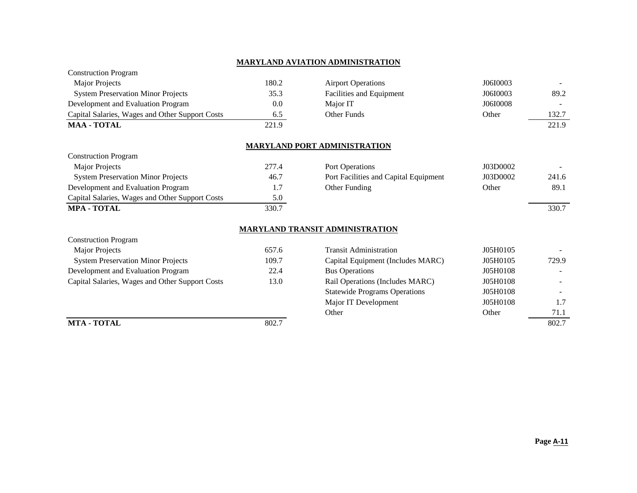#### **MARYLAND AVIATION ADMINISTRATION**

| <b>Construction Program</b>                     |       |                                       |          |       |
|-------------------------------------------------|-------|---------------------------------------|----------|-------|
| <b>Major Projects</b>                           | 180.2 | <b>Airport Operations</b>             | J06I0003 |       |
| <b>System Preservation Minor Projects</b>       | 35.3  | Facilities and Equipment              | J06I0003 | 89.2  |
| Development and Evaluation Program              | 0.0   | Major IT                              | J06I0008 |       |
| Capital Salaries, Wages and Other Support Costs | 6.5   | Other Funds                           | Other    | 132.7 |
| <b>MAA - TOTAL</b>                              | 221.9 |                                       |          | 221.9 |
|                                                 |       |                                       |          |       |
|                                                 |       | <b>MARYLAND PORT ADMINISTRATION</b>   |          |       |
| <b>Construction Program</b>                     |       |                                       |          |       |
| <b>Major Projects</b>                           | 277.4 | Port Operations                       | J03D0002 |       |
| <b>System Preservation Minor Projects</b>       | 46.7  | Port Facilities and Capital Equipment | J03D0002 | 241.6 |
| Development and Evaluation Program              | 1.7   | Other Funding                         | Other    | 89.1  |
| Capital Salaries, Wages and Other Support Costs | 5.0   |                                       |          |       |
| <b>MPA - TOTAL</b>                              | 330.7 |                                       |          | 330.7 |

## **MARYLAND TRANSIT ADMINISTRATION**

| <b>Construction Program</b>                     |       |
|-------------------------------------------------|-------|
| Major Projects                                  | 657.6 |
| <b>System Preservation Minor Projects</b>       | 109.7 |
| Development and Evaluation Program              | 22.4  |
| Capital Salaries, Wages and Other Support Costs | 13.0  |

| Major Projects                                  | 657.6 | <b>Transit Administration</b>        | J05H0105 |       |
|-------------------------------------------------|-------|--------------------------------------|----------|-------|
| <b>System Preservation Minor Projects</b>       | 109.7 | Capital Equipment (Includes MARC)    | J05H0105 | 729.9 |
| Development and Evaluation Program              | 22.4  | <b>Bus Operations</b>                | J05H0108 |       |
| Capital Salaries, Wages and Other Support Costs | 13.0  | Rail Operations (Includes MARC)      | J05H0108 |       |
|                                                 |       | <b>Statewide Programs Operations</b> | J05H0108 |       |
|                                                 |       | Major IT Development                 | J05H0108 |       |
|                                                 |       | Other                                | Other    | 71.1  |
| <b>MTA - TOTAL</b>                              | 802.7 |                                      |          | 802.7 |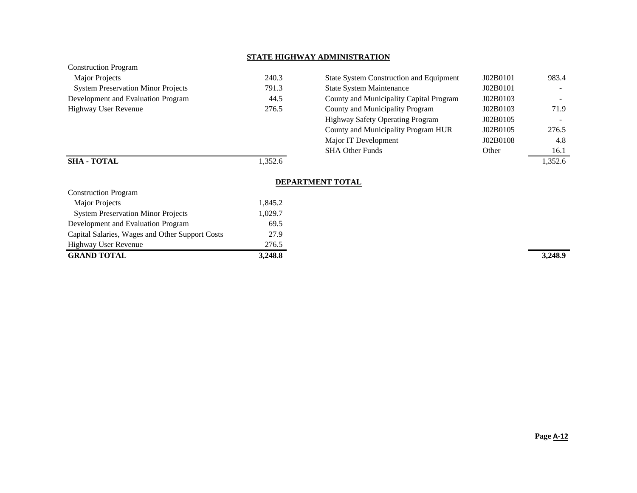#### **STATE HIGHWAY ADMINISTRATION**

| <b>Construction Program</b>               |     |
|-------------------------------------------|-----|
| <b>Major Projects</b>                     | 240 |
| <b>System Preservation Minor Projects</b> | 791 |
| Development and Evaluation Program        | 44  |
| Highway User Revenue                      | 276 |
|                                           |     |

| <b>Major Projects</b>                     | 240.3  | <b>State System Construction and Equipment</b> | J02B0101 | 983.4                    |
|-------------------------------------------|--------|------------------------------------------------|----------|--------------------------|
| <b>System Preservation Minor Projects</b> | 791.3  | <b>State System Maintenance</b>                | J02B0101 | $\overline{\phantom{a}}$ |
| Development and Evaluation Program        | 44.5   | County and Municipality Capital Program        | J02B0103 |                          |
| Highway User Revenue                      | 276.5  | County and Municipality Program                | J02B0103 | 71.9                     |
|                                           |        | <b>Highway Safety Operating Program</b>        | J02B0105 |                          |
|                                           |        | County and Municipality Program HUR            | J02B0105 | 276.5                    |
|                                           |        | Major IT Development                           | J02B0108 | 4.8                      |
|                                           |        | <b>SHA Other Funds</b>                         | Other    | 16.1                     |
| <b>SHA - TOTAL</b>                        | .352.6 |                                                |          | 1.352.6                  |

### **DEPARTMENT TOTAL**

| <b>Construction Program</b>                     |         |         |
|-------------------------------------------------|---------|---------|
| Major Projects                                  | 1,845.2 |         |
| <b>System Preservation Minor Projects</b>       | 1,029.7 |         |
| Development and Evaluation Program              | 69.5    |         |
| Capital Salaries, Wages and Other Support Costs | 27.9    |         |
| <b>Highway User Revenue</b>                     | 276.5   |         |
| <b>GRAND TOTAL</b>                              | 3,248.8 | 3,248.9 |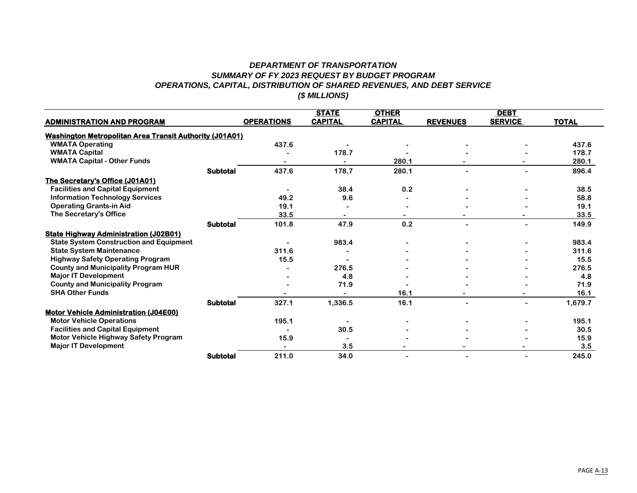#### *DEPARTMENT OF TRANSPORTATION SUMMARY OF FY 2023 REQUEST BY BUDGET PROGRAM OPERATIONS, CAPITAL, DISTRIBUTION OF SHARED REVENUES, AND DEBT SERVICE (\$ MILLIONS)*

|                                                                |                 |                   | <b>STATE</b>   | <b>OTHER</b>   |                 | <b>DEBT</b>    |              |
|----------------------------------------------------------------|-----------------|-------------------|----------------|----------------|-----------------|----------------|--------------|
| <b>ADMINISTRATION AND PROGRAM</b>                              |                 | <b>OPERATIONS</b> | <b>CAPITAL</b> | <b>CAPITAL</b> | <b>REVENUES</b> | <b>SERVICE</b> | <b>TOTAL</b> |
| <b>Washington Metropolitan Area Transit Authority (J01A01)</b> |                 |                   |                |                |                 |                |              |
| <b>WMATA Operating</b>                                         |                 | 437.6             |                |                |                 |                | 437.6        |
| <b>WMATA Capital</b>                                           |                 |                   | 178.7          |                |                 |                | 178.7        |
| <b>WMATA Capital - Other Funds</b>                             |                 |                   |                | 280.1          |                 |                | 280.1        |
|                                                                | <b>Subtotal</b> | 437.6             | 178.7          | 280.1          |                 |                | 896.4        |
| The Secretary's Office (J01A01)                                |                 |                   |                |                |                 |                |              |
| <b>Facilities and Capital Equipment</b>                        |                 |                   | 38.4           | 0.2            |                 |                | 38.5         |
| <b>Information Technology Services</b>                         |                 | 49.2              | 9.6            |                |                 |                | 58.8         |
| <b>Operating Grants-in Aid</b>                                 |                 | 19.1              |                |                |                 |                | 19.1         |
| The Secretary's Office                                         |                 | 33.5              |                |                |                 |                | 33.5         |
|                                                                | <b>Subtotal</b> | 101.8             | 47.9           | 0.2            |                 |                | 149.9        |
| <b>State Highway Administration (J02B01)</b>                   |                 |                   |                |                |                 |                |              |
| <b>State System Construction and Equipment</b>                 |                 |                   | 983.4          |                |                 |                | 983.4        |
| <b>State System Maintenance</b>                                |                 | 311.6             |                |                |                 |                | 311.6        |
| <b>Highway Safety Operating Program</b>                        |                 | 15.5              |                |                |                 |                | 15.5         |
| <b>County and Municipality Program HUR</b>                     |                 |                   | 276.5          |                |                 |                | 276.5        |
| <b>Major IT Development</b>                                    |                 |                   | 4.8            |                |                 |                | 4.8          |
| <b>County and Municipality Program</b>                         |                 |                   | 71.9           |                |                 |                | 71.9         |
| <b>SHA Other Funds</b>                                         |                 |                   |                | 16.1           |                 |                | 16.1         |
|                                                                | <b>Subtotal</b> | 327.1             | 1,336.5        | 16.1           |                 |                | 1,679.7      |
| <b>Motor Vehicle Administration (J04E00)</b>                   |                 |                   |                |                |                 |                |              |
| <b>Motor Vehicle Operations</b>                                |                 | 195.1             |                |                |                 |                | 195.1        |
| <b>Facilities and Capital Equipment</b>                        |                 |                   | 30.5           |                |                 |                | 30.5         |
| Motor Vehicle Highway Safety Program                           |                 | 15.9              |                |                |                 |                | 15.9         |
| <b>Major IT Development</b>                                    |                 |                   | 3.5            |                |                 |                | 3.5          |
|                                                                | <b>Subtotal</b> | 211.0             | 34.0           |                |                 |                | 245.0        |